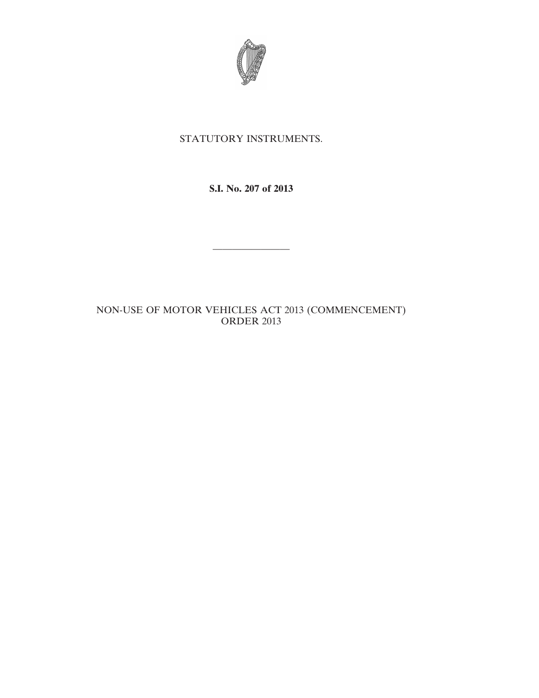

# STATUTORY INSTRUMENTS.

**S.I. No. 207 of 2013**

————————

# NON-USE OF MOTOR VEHICLES ACT 2013 (COMMENCEMENT) ORDER 2013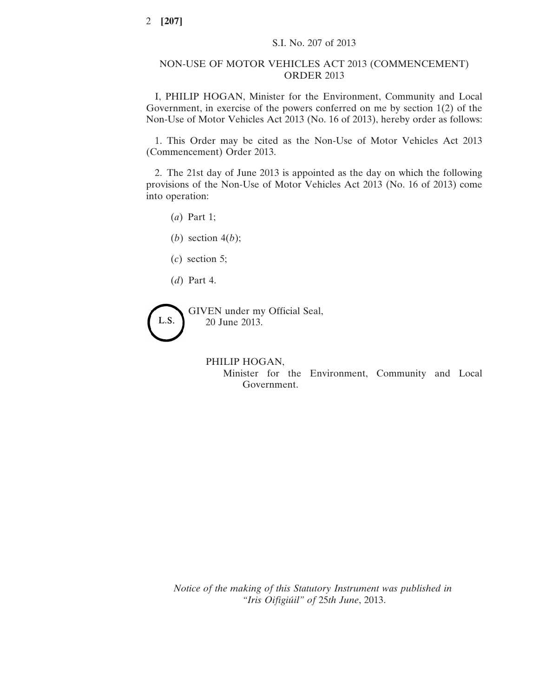### NON-USE OF MOTOR VEHICLES ACT 2013 (COMMENCEMENT) ORDER 2013

I, PHILIP HOGAN, Minister for the Environment, Community and Local Government, in exercise of the powers conferred on me by section 1(2) of the Non-Use of Motor Vehicles Act 2013 (No. 16 of 2013), hereby order as follows:

1. This Order may be cited as the Non-Use of Motor Vehicles Act 2013 (Commencement) Order 2013.

2. The 21st day of June 2013 is appointed as the day on which the following provisions of the Non-Use of Motor Vehicles Act 2013 (No. 16 of 2013) come into operation:

(*a*) Part 1;

(*b*) section 4(*b*);

- (*c*) section 5;
- (*d*) Part 4.

GIVEN under my Official Seal, L.S. 20 June 2013.

#### PHILIP HOGAN,

Minister for the Environment, Community and Local Government.

*Notice of the making of this Statutory Instrument was published in "Iris Oifigiúil" of* 25*th June*, 2013.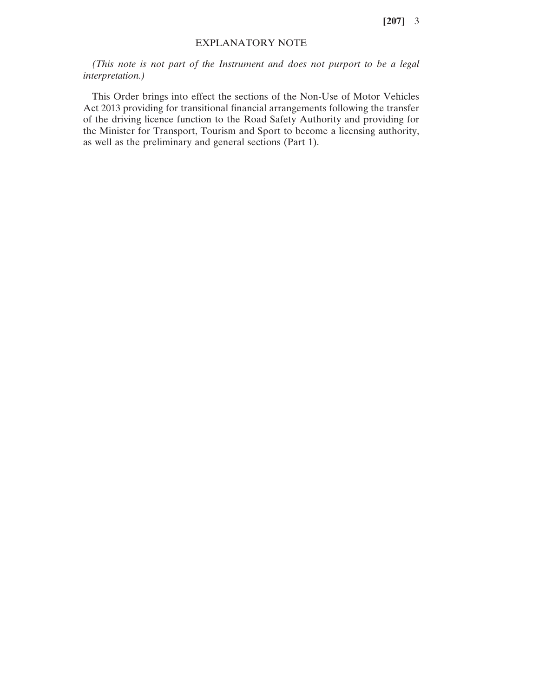**[207]** 3

### EXPLANATORY NOTE

*(This note is not part of the Instrument and does not purport to be a legal interpretation.)*

This Order brings into effect the sections of the Non-Use of Motor Vehicles Act 2013 providing for transitional financial arrangements following the transfer of the driving licence function to the Road Safety Authority and providing for the Minister for Transport, Tourism and Sport to become a licensing authority, as well as the preliminary and general sections (Part 1).